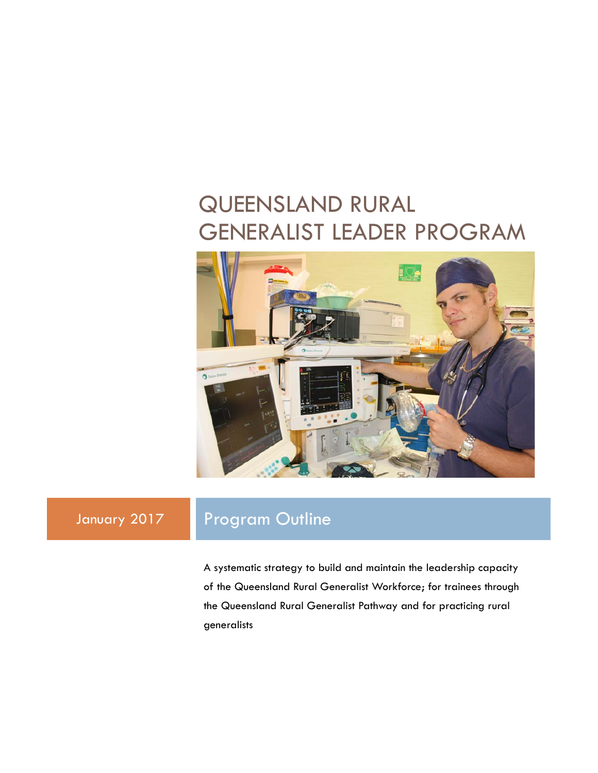## QUEENSLAND RURAL GENERALIST LEADER PROGRAM



## January 2017 Program Outline

A systematic strategy to build and maintain the leadership capacity of the Queensland Rural Generalist Workforce; for trainees through the Queensland Rural Generalist Pathway and for practicing rural generalists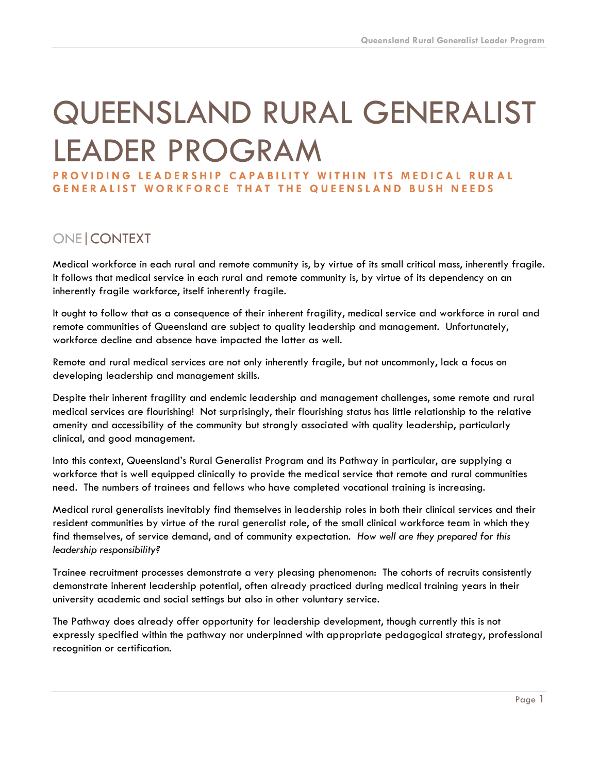# QUEENSLAND RURAL GENERALIST LEADER PROGRAM

**PROVIDING LEADERSHIP CAPABILITY WITHIN ITS MEDICAL RURAL GENERALIST WORKFORCE THAT THE QUEENSLAND BUSH NEEDS**

## ONE|CONTEXT

Medical workforce in each rural and remote community is, by virtue of its small critical mass, inherently fragile. It follows that medical service in each rural and remote community is, by virtue of its dependency on an inherently fragile workforce, itself inherently fragile.

It ought to follow that as a consequence of their inherent fragility, medical service and workforce in rural and remote communities of Queensland are subject to quality leadership and management. Unfortunately, workforce decline and absence have impacted the latter as well.

Remote and rural medical services are not only inherently fragile, but not uncommonly, lack a focus on developing leadership and management skills.

Despite their inherent fragility and endemic leadership and management challenges, some remote and rural medical services are flourishing! Not surprisingly, their flourishing status has little relationship to the relative amenity and accessibility of the community but strongly associated with quality leadership, particularly clinical, and good management.

Into this context, Queensland's Rural Generalist Program and its Pathway in particular, are supplying a workforce that is well equipped clinically to provide the medical service that remote and rural communities need. The numbers of trainees and fellows who have completed vocational training is increasing.

Medical rural generalists inevitably find themselves in leadership roles in both their clinical services and their resident communities by virtue of the rural generalist role, of the small clinical workforce team in which they find themselves, of service demand, and of community expectation. *How well are they prepared for this leadership responsibility?*

Trainee recruitment processes demonstrate a very pleasing phenomenon: The cohorts of recruits consistently demonstrate inherent leadership potential, often already practiced during medical training years in their university academic and social settings but also in other voluntary service.

The Pathway does already offer opportunity for leadership development, though currently this is not expressly specified within the pathway nor underpinned with appropriate pedagogical strategy, professional recognition or certification.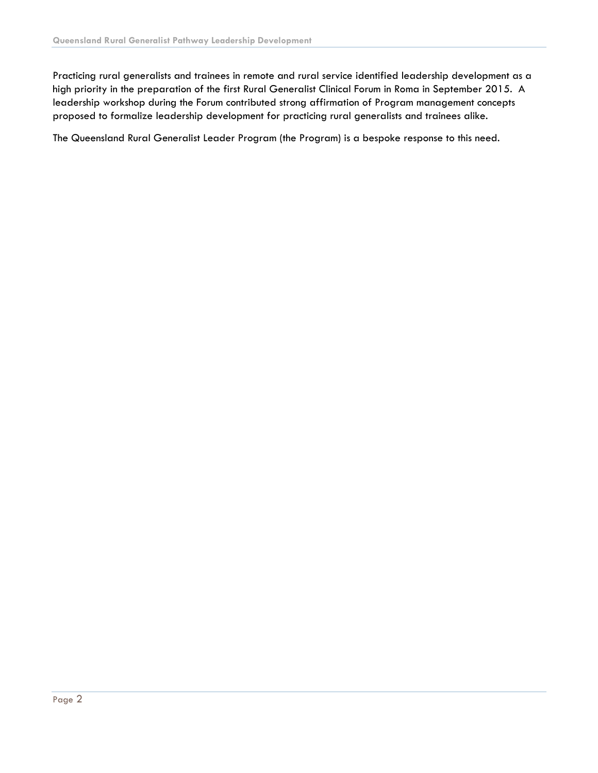Practicing rural generalists and trainees in remote and rural service identified leadership development as a high priority in the preparation of the first Rural Generalist Clinical Forum in Roma in September 2015. A leadership workshop during the Forum contributed strong affirmation of Program management concepts proposed to formalize leadership development for practicing rural generalists and trainees alike.

The Queensland Rural Generalist Leader Program (the Program) is a bespoke response to this need.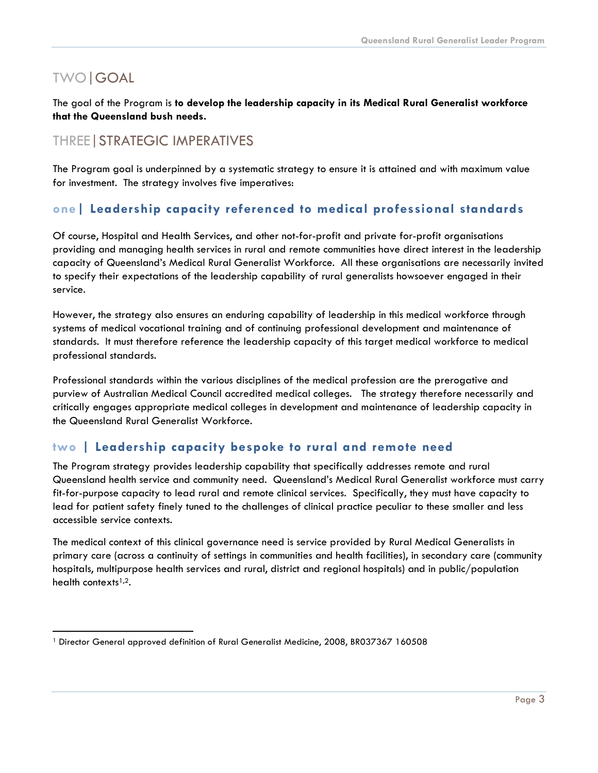## TWO|GOAL

The goal of the Program is **to develop the leadership capacity in its Medical Rural Generalist workforce that the Queensland bush needs.**

## THREE|STRATEGIC IMPERATIVES

The Program goal is underpinned by a systematic strategy to ensure it is attained and with maximum value for investment. The strategy involves five imperatives:

## **one| Leadership capacity referenced to medical professional standards**

Of course, Hospital and Health Services, and other not-for-profit and private for-profit organisations providing and managing health services in rural and remote communities have direct interest in the leadership capacity of Queensland's Medical Rural Generalist Workforce. All these organisations are necessarily invited to specify their expectations of the leadership capability of rural generalists howsoever engaged in their service.

However, the strategy also ensures an enduring capability of leadership in this medical workforce through systems of medical vocational training and of continuing professional development and maintenance of standards. It must therefore reference the leadership capacity of this target medical workforce to medical professional standards.

Professional standards within the various disciplines of the medical profession are the prerogative and purview of Australian Medical Council accredited medical colleges. The strategy therefore necessarily and critically engages appropriate medical colleges in development and maintenance of leadership capacity in the Queensland Rural Generalist Workforce.

## **two | Leadership capacity bespoke to rural and remote need**

The Program strategy provides leadership capability that specifically addresses remote and rural Queensland health service and community need. Queensland's Medical Rural Generalist workforce must carry fit-for-purpose capacity to lead rural and remote clinical services. Specifically, they must have capacity to lead for patient safety finely tuned to the challenges of clinical practice peculiar to these smaller and less accessible service contexts.

The medical context of this clinical governance need is service provided by Rural Medical Generalists in primary care (across a continuity of settings in communities and health facilities), in secondary care (community hospitals, multipurpose health services and rural, district and regional hospitals) and in public/population health contexts $1,2$ .

<sup>&</sup>lt;sup>1</sup> Director General approved definition of Rural Generalist Medicine, 2008, BR037367 160508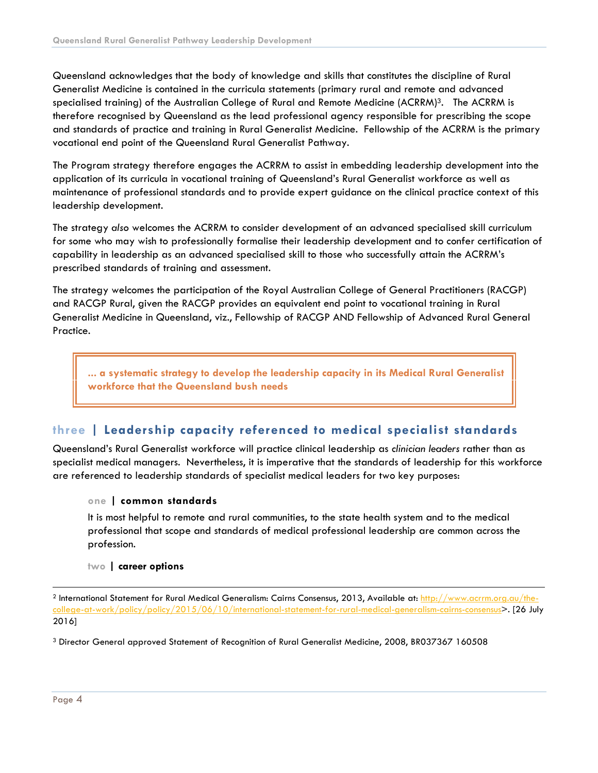Queensland acknowledges that the body of knowledge and skills that constitutes the discipline of Rural Generalist Medicine is contained in the curricula statements (primary rural and remote and advanced specialised training) of the Australian College of Rural and Remote Medicine (ACRRM)<sup>3</sup>. The ACRRM is therefore recognised by Queensland as the lead professional agency responsible for prescribing the scope and standards of practice and training in Rural Generalist Medicine. Fellowship of the ACRRM is the primary vocational end point of the Queensland Rural Generalist Pathway.

The Program strategy therefore engages the ACRRM to assist in embedding leadership development into the application of its curricula in vocational training of Queensland's Rural Generalist workforce as well as maintenance of professional standards and to provide expert guidance on the clinical practice context of this leadership development.

The strategy *also* welcomes the ACRRM to consider development of an advanced specialised skill curriculum for some who may wish to professionally formalise their leadership development and to confer certification of capability in leadership as an advanced specialised skill to those who successfully attain the ACRRM's prescribed standards of training and assessment.

The strategy welcomes the participation of the Royal Australian College of General Practitioners (RACGP) and RACGP Rural, given the RACGP provides an equivalent end point to vocational training in Rural Generalist Medicine in Queensland, viz., Fellowship of RACGP AND Fellowship of Advanced Rural General Practice.

**... a systematic strategy to develop the leadership capacity in its Medical Rural Generalist workforce that the Queensland bush needs**

### **three | Leadership capacity referenced to medical specialist standards**

Queensland's Rural Generalist workforce will practice clinical leadership as *clinician leaders* rather than as specialist medical managers. Nevertheless, it is imperative that the standards of leadership for this workforce are referenced to leadership standards of specialist medical leaders for two key purposes:

#### **one | common standards**

It is most helpful to remote and rural communities, to the state health system and to the medical professional that scope and standards of medical professional leadership are common across the profession.

#### **two | career options**

<sup>3</sup> Director General approved Statement of Recognition of Rural Generalist Medicine, 2008, BR037367 160508

 <sup>2</sup> International Statement for Rural Medical Generalism: Cairns Consensus, 2013, Available at: http://www.acrrm.org.au/thecollege-at-work/policy/policy/2015/06/10/international-statement-for-rural-medical-generalism-cairns-consensus>. [26 July 2016]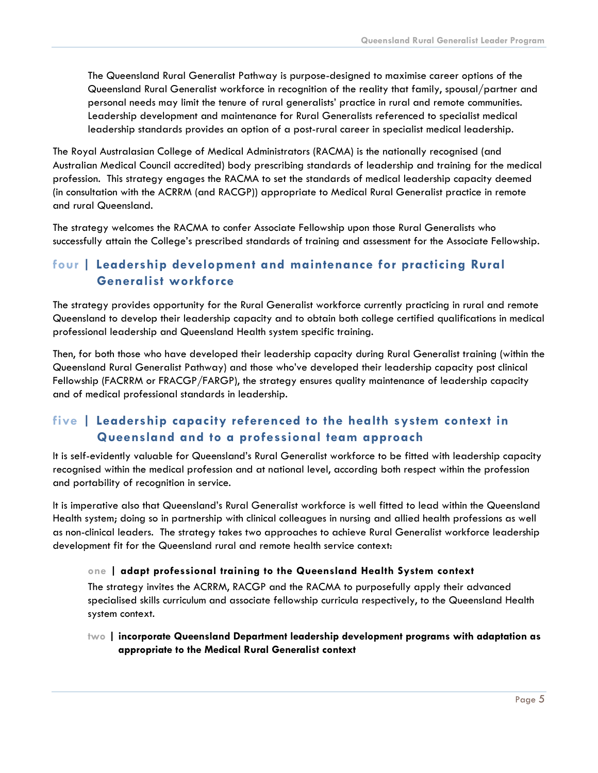The Queensland Rural Generalist Pathway is purpose-designed to maximise career options of the Queensland Rural Generalist workforce in recognition of the reality that family, spousal/partner and personal needs may limit the tenure of rural generalists' practice in rural and remote communities. Leadership development and maintenance for Rural Generalists referenced to specialist medical leadership standards provides an option of a post-rural career in specialist medical leadership.

The Royal Australasian College of Medical Administrators (RACMA) is the nationally recognised (and Australian Medical Council accredited) body prescribing standards of leadership and training for the medical profession. This strategy engages the RACMA to set the standards of medical leadership capacity deemed (in consultation with the ACRRM (and RACGP)) appropriate to Medical Rural Generalist practice in remote and rural Queensland.

The strategy welcomes the RACMA to confer Associate Fellowship upon those Rural Generalists who successfully attain the College's prescribed standards of training and assessment for the Associate Fellowship.

## **four | Leadership development and maintenance for practicing Rural Generalist workforce**

The strategy provides opportunity for the Rural Generalist workforce currently practicing in rural and remote Queensland to develop their leadership capacity and to obtain both college certified qualifications in medical professional leadership and Queensland Health system specific training.

Then, for both those who have developed their leadership capacity during Rural Generalist training (within the Queensland Rural Generalist Pathway) and those who've developed their leadership capacity post clinical Fellowship (FACRRM or FRACGP/FARGP), the strategy ensures quality maintenance of leadership capacity and of medical professional standards in leadership.

## **five | Leadership capacity referenced to the health system context in Queensland and to a professional team approach**

It is self-evidently valuable for Queensland's Rural Generalist workforce to be fitted with leadership capacity recognised within the medical profession and at national level, according both respect within the profession and portability of recognition in service.

It is imperative also that Queensland's Rural Generalist workforce is well fitted to lead within the Queensland Health system; doing so in partnership with clinical colleagues in nursing and allied health professions as well as non-clinical leaders. The strategy takes two approaches to achieve Rural Generalist workforce leadership development fit for the Queensland rural and remote health service context:

#### **one | adapt professional training to the Queensland Health System context**

The strategy invites the ACRRM, RACGP and the RACMA to purposefully apply their advanced specialised skills curriculum and associate fellowship curricula respectively, to the Queensland Health system context.

**two | incorporate Queensland Department leadership development programs with adaptation as appropriate to the Medical Rural Generalist context**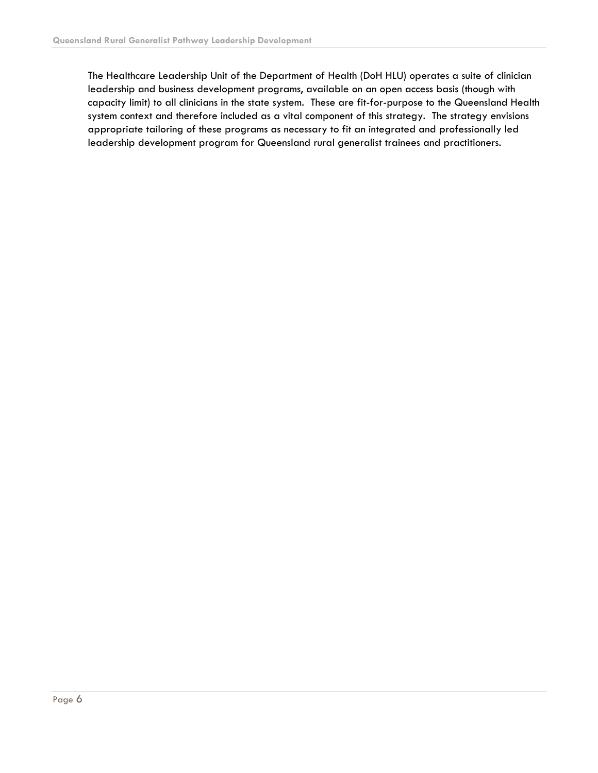The Healthcare Leadership Unit of the Department of Health (DoH HLU) operates a suite of clinician leadership and business development programs, available on an open access basis (though with capacity limit) to all clinicians in the state system. These are fit-for-purpose to the Queensland Health system context and therefore included as a vital component of this strategy. The strategy envisions appropriate tailoring of these programs as necessary to fit an integrated and professionally led leadership development program for Queensland rural generalist trainees and practitioners.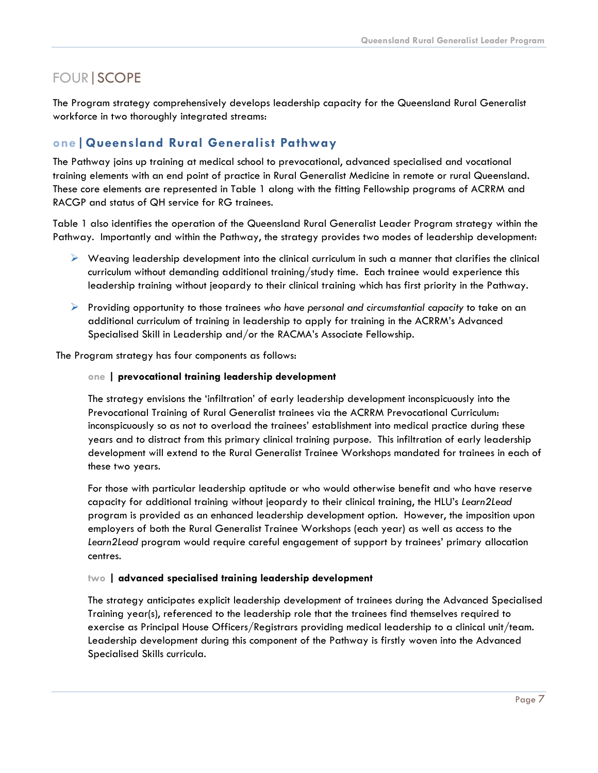## FOUR|SCOPE

The Program strategy comprehensively develops leadership capacity for the Queensland Rural Generalist workforce in two thoroughly integrated streams:

## **one|Queensland Rural Generalist Pathway**

The Pathway joins up training at medical school to prevocational, advanced specialised and vocational training elements with an end point of practice in Rural Generalist Medicine in remote or rural Queensland. These core elements are represented in Table 1 along with the fitting Fellowship programs of ACRRM and RACGP and status of QH service for RG trainees.

Table 1 also identifies the operation of the Queensland Rural Generalist Leader Program strategy within the Pathway. Importantly and within the Pathway, the strategy provides two modes of leadership development:

- $\triangleright$  Weaving leadership development into the clinical curriculum in such a manner that clarifies the clinical curriculum without demanding additional training/study time. Each trainee would experience this leadership training without jeopardy to their clinical training which has first priority in the Pathway.
- Providing opportunity to those trainees *who have personal and circumstantial capacity* to take on an additional curriculum of training in leadership to apply for training in the ACRRM's Advanced Specialised Skill in Leadership and/or the RACMA's Associate Fellowship.

The Program strategy has four components as follows:

#### **one | prevocational training leadership development**

The strategy envisions the 'infiltration' of early leadership development inconspicuously into the Prevocational Training of Rural Generalist trainees via the ACRRM Prevocational Curriculum: inconspicuously so as not to overload the trainees' establishment into medical practice during these years and to distract from this primary clinical training purpose. This infiltration of early leadership development will extend to the Rural Generalist Trainee Workshops mandated for trainees in each of these two years.

For those with particular leadership aptitude or who would otherwise benefit and who have reserve capacity for additional training without jeopardy to their clinical training, the HLU's *Learn2Lead* program is provided as an enhanced leadership development option. However, the imposition upon employers of both the Rural Generalist Trainee Workshops (each year) as well as access to the *Learn2Lead* program would require careful engagement of support by trainees' primary allocation centres.

#### **two | advanced specialised training leadership development**

The strategy anticipates explicit leadership development of trainees during the Advanced Specialised Training year(s), referenced to the leadership role that the trainees find themselves required to exercise as Principal House Officers/Registrars providing medical leadership to a clinical unit/team. Leadership development during this component of the Pathway is firstly woven into the Advanced Specialised Skills curricula.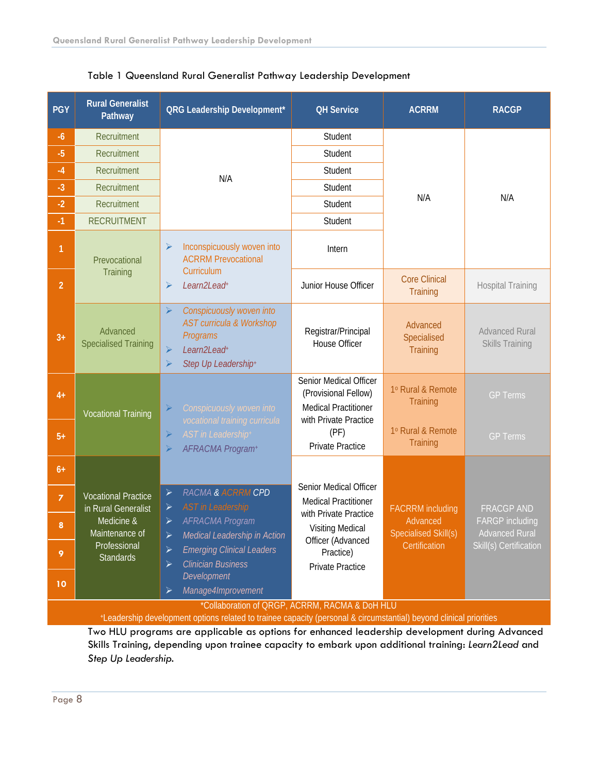| <b>PGY</b>                                     | <b>Rural Generalist</b><br>Pathway                                                                                    | <b>QRG Leadership Development*</b>                                                                                                                                                                                                                                            | <b>QH Service</b>                                                                                                                                                      | <b>ACRRM</b>                                                                 | <b>RACGP</b>                                                                                   |
|------------------------------------------------|-----------------------------------------------------------------------------------------------------------------------|-------------------------------------------------------------------------------------------------------------------------------------------------------------------------------------------------------------------------------------------------------------------------------|------------------------------------------------------------------------------------------------------------------------------------------------------------------------|------------------------------------------------------------------------------|------------------------------------------------------------------------------------------------|
| $-6$                                           | Recruitment<br>Recruitment<br>Recruitment<br>Recruitment<br>Recruitment                                               | N/A                                                                                                                                                                                                                                                                           | Student                                                                                                                                                                | N/A                                                                          | N/A                                                                                            |
| $-5$                                           |                                                                                                                       |                                                                                                                                                                                                                                                                               | Student                                                                                                                                                                |                                                                              |                                                                                                |
| $-4$                                           |                                                                                                                       |                                                                                                                                                                                                                                                                               | Student                                                                                                                                                                |                                                                              |                                                                                                |
| $-3$                                           |                                                                                                                       |                                                                                                                                                                                                                                                                               | Student                                                                                                                                                                |                                                                              |                                                                                                |
| $-2$                                           |                                                                                                                       |                                                                                                                                                                                                                                                                               | Student                                                                                                                                                                |                                                                              |                                                                                                |
| $-1$                                           | <b>RECRUITMENT</b>                                                                                                    |                                                                                                                                                                                                                                                                               | Student                                                                                                                                                                |                                                                              |                                                                                                |
| 1                                              | Prevocational<br>Training                                                                                             | Inconspicuously woven into<br>$\blacktriangleright$<br><b>ACRRM Prevocational</b><br>Curriculum<br>$\blacktriangleright$<br>Learn2Lead+                                                                                                                                       | Intern                                                                                                                                                                 |                                                                              |                                                                                                |
| $\overline{2}$                                 |                                                                                                                       |                                                                                                                                                                                                                                                                               | Junior House Officer                                                                                                                                                   | <b>Core Clinical</b><br><b>Training</b>                                      | <b>Hospital Training</b>                                                                       |
| $3+$                                           | Advanced<br><b>Specialised Training</b>                                                                               | $\blacktriangleright$<br>Conspicuously woven into<br><b>AST curricula &amp; Workshop</b><br>Programs<br>$\blacktriangleright$<br>Learn2Lead <sup>+</sup><br>$\blacktriangleright$<br>Step Up Leadership+                                                                      | Registrar/Principal<br>House Officer                                                                                                                                   | Advanced<br>Specialised<br>Training                                          | <b>Advanced Rural</b><br><b>Skills Training</b>                                                |
| $4+$                                           | <b>Vocational Training</b>                                                                                            | $\blacktriangleright$<br>Conspicuously woven into<br>vocational training curricula<br>$\blacktriangleright$<br>AST in Leadership+<br>$\blacktriangleright$<br>AFRACMA Program+                                                                                                | Senior Medical Officer<br>(Provisional Fellow)<br><b>Medical Practitioner</b><br>with Private Practice                                                                 | 1º Rural & Remote<br>Training                                                | <b>GP Terms</b>                                                                                |
| $5+$                                           |                                                                                                                       |                                                                                                                                                                                                                                                                               | (PF)<br><b>Private Practice</b>                                                                                                                                        | 1º Rural & Remote<br>Training                                                | <b>GP Terms</b>                                                                                |
| $6+$                                           | <b>Vocational Practice</b><br>in Rural Generalist<br>Medicine &<br>Maintenance of<br>Professional<br><b>Standards</b> | <b>RACMA &amp; ACRRM CPD</b><br>➤<br><b>AST</b> in Leadership<br>➤<br><b>AFRACMA Program</b><br>$\blacktriangleright$<br>$\blacktriangleright$<br>Medical Leadership in Action<br><b>Emerging Clinical Leaders</b><br>≻<br><b>Clinician Business</b><br>$\blacktriangleright$ | Senior Medical Officer<br><b>Medical Practitioner</b><br>with Private Practice<br><b>Visiting Medical</b><br>Officer (Advanced<br>Practice)<br><b>Private Practice</b> | <b>FACRRM</b> including<br>Advanced<br>Specialised Skill(s)<br>Certification | <b>FRACGP AND</b><br><b>FARGP</b> including<br><b>Advanced Rural</b><br>Skill(s) Certification |
| $\overline{z}$                                 |                                                                                                                       |                                                                                                                                                                                                                                                                               |                                                                                                                                                                        |                                                                              |                                                                                                |
| 8                                              |                                                                                                                       |                                                                                                                                                                                                                                                                               |                                                                                                                                                                        |                                                                              |                                                                                                |
| 9                                              |                                                                                                                       |                                                                                                                                                                                                                                                                               |                                                                                                                                                                        |                                                                              |                                                                                                |
| 10                                             |                                                                                                                       | Development<br>Manage4Improvement<br>$\blacktriangleright$                                                                                                                                                                                                                    |                                                                                                                                                                        |                                                                              |                                                                                                |
| *Collaboration of QRGP, ACRRM, RACMA & DoH HLU |                                                                                                                       |                                                                                                                                                                                                                                                                               |                                                                                                                                                                        |                                                                              |                                                                                                |

Table 1 Queensland Rural Generalist Pathway Leadership Development

+Leadership development options related to trainee capacity (personal & circumstantial) beyond clinical priorities

Two HLU programs are applicable as options for enhanced leadership development during Advanced Skills Training, depending upon trainee capacity to embark upon additional training: *Learn2Lead* and *Step Up Leadership*.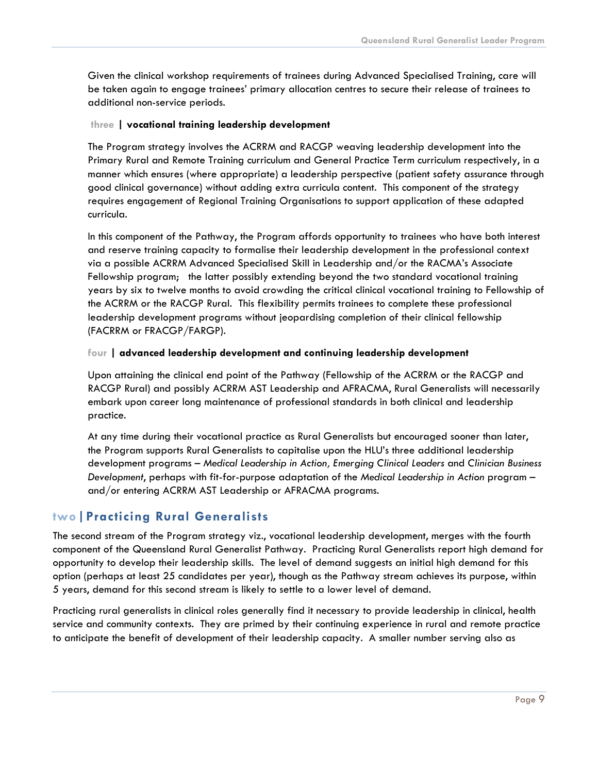Given the clinical workshop requirements of trainees during Advanced Specialised Training, care will be taken again to engage trainees' primary allocation centres to secure their release of trainees to additional non-service periods.

#### **three | vocational training leadership development**

The Program strategy involves the ACRRM and RACGP weaving leadership development into the Primary Rural and Remote Training curriculum and General Practice Term curriculum respectively, in a manner which ensures (where appropriate) a leadership perspective (patient safety assurance through good clinical governance) without adding extra curricula content. This component of the strategy requires engagement of Regional Training Organisations to support application of these adapted curricula.

In this component of the Pathway, the Program affords opportunity to trainees who have both interest and reserve training capacity to formalise their leadership development in the professional context via a possible ACRRM Advanced Specialised Skill in Leadership and/or the RACMA's Associate Fellowship program; the latter possibly extending beyond the two standard vocational training years by six to twelve months to avoid crowding the critical clinical vocational training to Fellowship of the ACRRM or the RACGP Rural. This flexibility permits trainees to complete these professional leadership development programs without jeopardising completion of their clinical fellowship (FACRRM or FRACGP/FARGP).

#### **four | advanced leadership development and continuing leadership development**

Upon attaining the clinical end point of the Pathway (Fellowship of the ACRRM or the RACGP and RACGP Rural) and possibly ACRRM AST Leadership and AFRACMA, Rural Generalists will necessarily embark upon career long maintenance of professional standards in both clinical and leadership practice.

At any time during their vocational practice as Rural Generalists but encouraged sooner than later, the Program supports Rural Generalists to capitalise upon the HLU's three additional leadership development programs – *Medical Leadership in Action, Emerging Clinical Leaders* and *Clinician Business Development*, perhaps with fit-for-purpose adaptation of the *Medical Leadership in Action* program – and/or entering ACRRM AST Leadership or AFRACMA programs.

#### **two|Practicing Rural Generalists**

The second stream of the Program strategy viz., vocational leadership development, merges with the fourth component of the Queensland Rural Generalist Pathway. Practicing Rural Generalists report high demand for opportunity to develop their leadership skills. The level of demand suggests an initial high demand for this option (perhaps at least 25 candidates per year), though as the Pathway stream achieves its purpose, within 5 years, demand for this second stream is likely to settle to a lower level of demand.

Practicing rural generalists in clinical roles generally find it necessary to provide leadership in clinical, health service and community contexts. They are primed by their continuing experience in rural and remote practice to anticipate the benefit of development of their leadership capacity. A smaller number serving also as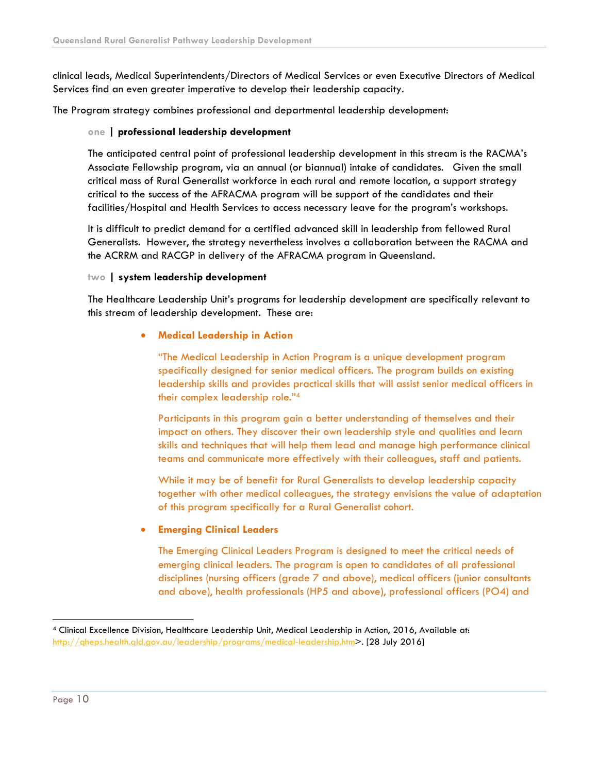clinical leads, Medical Superintendents/Directors of Medical Services or even Executive Directors of Medical Services find an even greater imperative to develop their leadership capacity.

The Program strategy combines professional and departmental leadership development:

#### **one | professional leadership development**

The anticipated central point of professional leadership development in this stream is the RACMA's Associate Fellowship program, via an annual (or biannual) intake of candidates. Given the small critical mass of Rural Generalist workforce in each rural and remote location, a support strategy critical to the success of the AFRACMA program will be support of the candidates and their facilities/Hospital and Health Services to access necessary leave for the program's workshops.

It is difficult to predict demand for a certified advanced skill in leadership from fellowed Rural Generalists. However, the strategy nevertheless involves a collaboration between the RACMA and the ACRRM and RACGP in delivery of the AFRACMA program in Queensland.

#### **two | system leadership development**

The Healthcare Leadership Unit's programs for leadership development are specifically relevant to this stream of leadership development. These are:

#### • **Medical Leadership in Action**

"The Medical Leadership in Action Program is a unique development program specifically designed for senior medical officers. The program builds on existing leadership skills and provides practical skills that will assist senior medical officers in their complex leadership role."4

Participants in this program gain a better understanding of themselves and their impact on others. They discover their own leadership style and qualities and learn skills and techniques that will help them lead and manage high performance clinical teams and communicate more effectively with their colleagues, staff and patients.

While it may be of benefit for Rural Generalists to develop leadership capacity together with other medical colleagues, the strategy envisions the value of adaptation of this program specifically for a Rural Generalist cohort.

#### • **Emerging Clinical Leaders**

The Emerging Clinical Leaders Program is designed to meet the critical needs of emerging clinical leaders. The program is open to candidates of all professional disciplines (nursing officers (grade 7 and above), medical officers (junior consultants and above), health professionals (HP5 and above), professional officers (PO4) and

 <sup>4</sup> Clinical Excellence Division, Healthcare Leadership Unit, Medical Leadership in Action, 2016, Available at: http://qheps.health.qld.gov.au/leadership/programs/medical-leadership.htm>. [28 July 2016]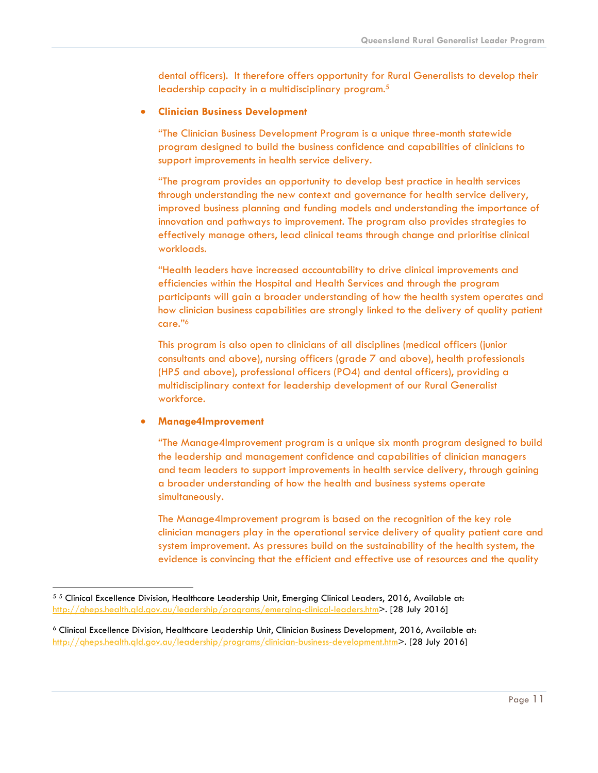dental officers). It therefore offers opportunity for Rural Generalists to develop their leadership capacity in a multidisciplinary program.5

#### • **Clinician Business Development**

"The Clinician Business Development Program is a unique three-month statewide program designed to build the business confidence and capabilities of clinicians to support improvements in health service delivery.

"The program provides an opportunity to develop best practice in health services through understanding the new context and governance for health service delivery, improved business planning and funding models and understanding the importance of innovation and pathways to improvement. The program also provides strategies to effectively manage others, lead clinical teams through change and prioritise clinical workloads.

"Health leaders have increased accountability to drive clinical improvements and efficiencies within the Hospital and Health Services and through the program participants will gain a broader understanding of how the health system operates and how clinician business capabilities are strongly linked to the delivery of quality patient care."6

This program is also open to clinicians of all disciplines (medical officers (junior consultants and above), nursing officers (grade 7 and above), health professionals (HP5 and above), professional officers (PO4) and dental officers), providing a multidisciplinary context for leadership development of our Rural Generalist workforce.

#### • **Manage4Improvement**

"The Manage4Improvement program is a unique six month program designed to build the leadership and management confidence and capabilities of clinician managers and team leaders to support improvements in health service delivery, through gaining a broader understanding of how the health and business systems operate simultaneously.

The Manage4Improvement program is based on the recognition of the key role clinician managers play in the operational service delivery of quality patient care and system improvement. As pressures build on the sustainability of the health system, the evidence is convincing that the efficient and effective use of resources and the quality

 <sup>5</sup> <sup>5</sup> Clinical Excellence Division, Healthcare Leadership Unit, Emerging Clinical Leaders, 2016, Available at: http://qheps.health.qld.gov.au/leadership/programs/emerging-clinical-leaders.htm>. [28 July 2016]

<sup>6</sup> Clinical Excellence Division, Healthcare Leadership Unit, Clinician Business Development, 2016, Available at: http://qheps.health.qld.gov.au/leadership/programs/clinician-business-development.htm>. [28 July 2016]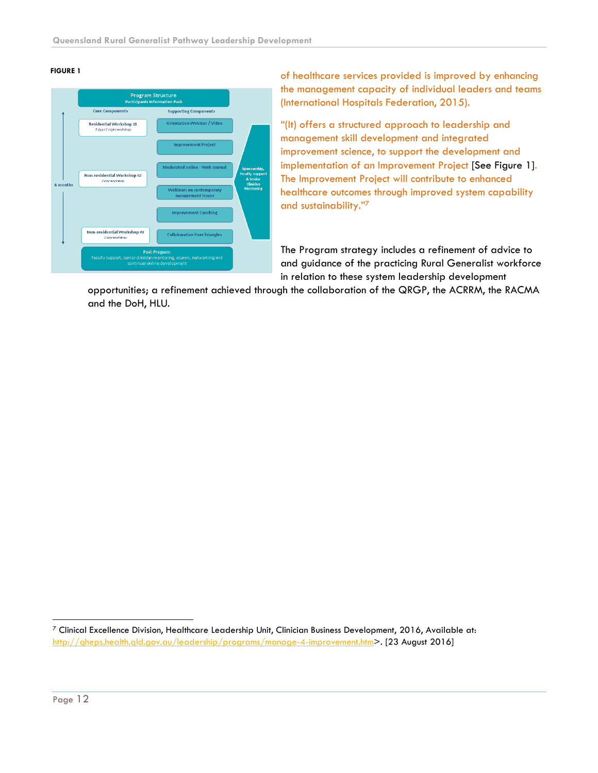#### **FIGURE 1**



of healthcare services provided is improved by enhancing the management capacity of individual leaders and teams (International Hospitals Federation, 2015).

"(It) offers a structured approach to leadership and management skill development and integrated improvement science, to support the development and implementation of an Improvement Project [See Figure 1]. The Improvement Project will contribute to enhanced healthcare outcomes through improved system capability and sustainability."7

The Program strategy includes a refinement of advice to and guidance of the practicing Rural Generalist workforce in relation to these system leadership development

opportunities; a refinement achieved through the collaboration of the QRGP, the ACRRM, the RACMA and the DoH, HLU.

 $7$  Clinical Excellence Division, Healthcare Leadership Unit, Clinician Business Development, 2016, Available at: http://gheps.health.gld.gov.au/leadership/programs/manage-4-improvement.htm>. [23 August 2016]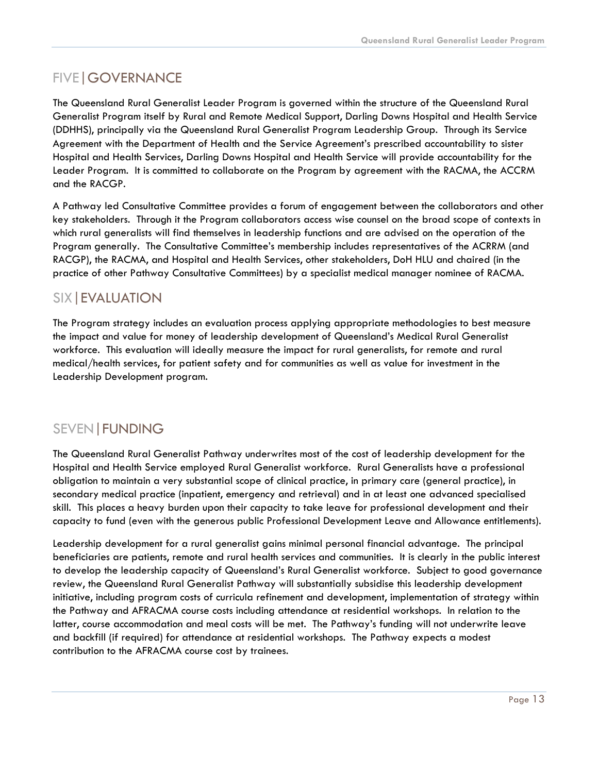## FIVE|GOVERNANCE

The Queensland Rural Generalist Leader Program is governed within the structure of the Queensland Rural Generalist Program itself by Rural and Remote Medical Support, Darling Downs Hospital and Health Service (DDHHS), principally via the Queensland Rural Generalist Program Leadership Group. Through its Service Agreement with the Department of Health and the Service Agreement's prescribed accountability to sister Hospital and Health Services, Darling Downs Hospital and Health Service will provide accountability for the Leader Program. It is committed to collaborate on the Program by agreement with the RACMA, the ACCRM and the RACGP.

A Pathway led Consultative Committee provides a forum of engagement between the collaborators and other key stakeholders. Through it the Program collaborators access wise counsel on the broad scope of contexts in which rural generalists will find themselves in leadership functions and are advised on the operation of the Program generally. The Consultative Committee's membership includes representatives of the ACRRM (and RACGP), the RACMA, and Hospital and Health Services, other stakeholders, DoH HLU and chaired (in the practice of other Pathway Consultative Committees) by a specialist medical manager nominee of RACMA.

## SIX|EVALUATION

The Program strategy includes an evaluation process applying appropriate methodologies to best measure the impact and value for money of leadership development of Queensland's Medical Rural Generalist workforce. This evaluation will ideally measure the impact for rural generalists, for remote and rural medical/health services, for patient safety and for communities as well as value for investment in the Leadership Development program.

## SEVEN|FUNDING

The Queensland Rural Generalist Pathway underwrites most of the cost of leadership development for the Hospital and Health Service employed Rural Generalist workforce. Rural Generalists have a professional obligation to maintain a very substantial scope of clinical practice, in primary care (general practice), in secondary medical practice (inpatient, emergency and retrieval) and in at least one advanced specialised skill. This places a heavy burden upon their capacity to take leave for professional development and their capacity to fund (even with the generous public Professional Development Leave and Allowance entitlements).

Leadership development for a rural generalist gains minimal personal financial advantage. The principal beneficiaries are patients, remote and rural health services and communities. It is clearly in the public interest to develop the leadership capacity of Queensland's Rural Generalist workforce. Subject to good governance review, the Queensland Rural Generalist Pathway will substantially subsidise this leadership development initiative, including program costs of curricula refinement and development, implementation of strategy within the Pathway and AFRACMA course costs including attendance at residential workshops. In relation to the latter, course accommodation and meal costs will be met. The Pathway's funding will not underwrite leave and backfill (if required) for attendance at residential workshops. The Pathway expects a modest contribution to the AFRACMA course cost by trainees.